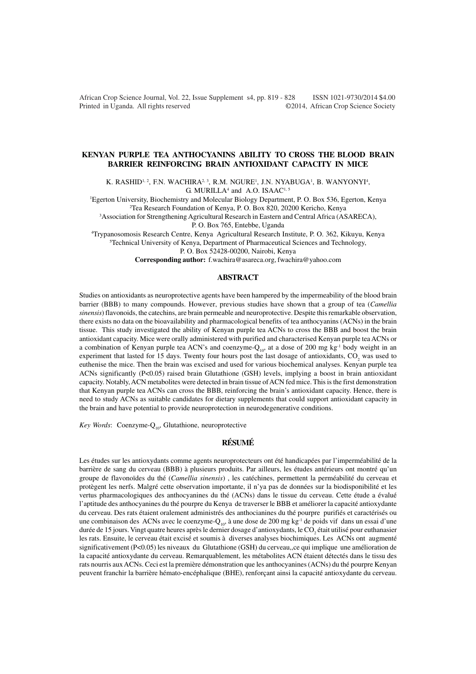African Crop Science Journal, Vol. 22, Issue Supplement s4, pp. 819 - 828 ISSN 1021-9730/2014 \$4.00 Printed in Uganda. All rights reserved ©2014, African Crop Science Society

# **KENYAN PURPLE TEA ANTHOCYANINS ABILITY TO CROSS THE BLOOD BRAIN BARRIER REINFORCING BRAIN ANTIOXIDANT CAPACITY IN MICE**

K. RASHID<sup>i, 2</sup>, F.N. WACHIRA<sup>2, 3</sup>, R.M. NGURE<sup>1</sup>, J.N. NYABUGA<sup>1</sup>, B. WANYONYI<sup>4</sup>, G. MURILLA $4$  and A.O. ISAAC<sup>1, 5</sup>

<sup>1</sup>Egerton University, Biochemistry and Molecular Biology Department, P. O. Box 536, Egerton, Kenya <sup>2</sup>Tea Research Foundation of Kenya, P. O. Box 820, 20200 Kericho, Kenya

<sup>3</sup>Association for Strengthening Agricultural Research in Eastern and Central Africa (ASARECA),

P. O. Box 765, Entebbe, Uganda

<sup>4</sup>Trypanosomosis Research Centre, Kenya Agricultural Research Institute, P. O. 362, Kikuyu, Kenya <sup>5</sup>Technical University of Kenya, Department of Pharmaceutical Sciences and Technology,

P. O. Box 52428-00200, Nairobi, Kenya

**Corresponding author:** f.wachira@asareca.org, fwachira@yahoo.com

# **ABSTRACT**

Studies on antioxidants as neuroprotective agents have been hampered by the impermeability of the blood brain barrier (BBB) to many compounds. However, previous studies have shown that a group of tea (*Camellia sinensis*) flavonoids, the catechins, are brain permeable and neuroprotective. Despite this remarkable observation, there exists no data on the bioavailability and pharmacological benefits of tea anthocyanins (ACNs) in the brain tissue. This study investigated the ability of Kenyan purple tea ACNs to cross the BBB and boost the brain antioxidant capacity. Mice were orally administered with purified and characterised Kenyan purple tea ACNs or a combination of Kenyan purple tea ACN's and coenzyme- $Q_{10}$ , at a dose of 200 mg kg<sup>-1</sup> body weight in an experiment that lasted for 15 days. Twenty four hours post the last dosage of antioxidants,  $CO_2$  was used to euthenise the mice. Then the brain was excised and used for various biochemical analyses. Kenyan purple tea ACNs significantly (P<0.05) raised brain Glutathione (GSH) levels, implying a boost in brain antioxidant capacity. Notably, ACN metabolites were detected in brain tissue of ACN fed mice. This is the first demonstration that Kenyan purple tea ACNs can cross the BBB, reinforcing the brain's antioxidant capacity. Hence, there is need to study ACNs as suitable candidates for dietary supplements that could support antioxidant capacity in the brain and have potential to provide neuroprotection in neurodegenerative conditions.

*Key Words*: Coenzyme-Q<sub>10</sub>, Glutathione, neuroprotective

# **RÉSUMÉ**

Les études sur les antioxydants comme agents neuroprotecteurs ont été handicapées par l'imperméabilité de la barrière de sang du cerveau (BBB) à plusieurs produits. Par ailleurs, les études antérieurs ont montré qu'un groupe de flavonoïdes du thé (*Camellia sinensis*) , les catéchines, permettent la perméabilité du cerveau et protègent les nerfs. Malgré cette observation importante, il n'ya pas de données sur la biodisponibilité et les vertus pharmacologiques des anthocyanines du thé (ACNs) dans le tissue du cerveau. Cette étude a évalué l'aptitude des anthocyanines du thé pourpre du Kenya de traverser le BBB et améliorer la capacité antioxydante du cerveau. Des rats étaient oralement administrés des anthocianines du thé pourpre purifiés et caractérisés ou une combinaison des ACNs avec le coenzyme- $Q_{10}$ , à une dose de 200 mg kg<sup>-1</sup> de poids vif dans un essai d'une durée de 15 jours. Vingt quatre heures après le dernier dosage d'antioxydants, le CO<sub>2</sub> était utilisé pour euthanasier les rats. Ensuite, le cerveau était excisé et soumis à diverses analyses biochimiques. Les ACNs ont augmenté significativement (P<0.05) les niveaux du Glutathione (GSH) du cerveau,,ce qui implique une amélioration de la capacité antioxydante du cerveau. Remarquablement, les métabolites ACN étaient détectés dans le tissu des rats nourris aux ACNs. Ceci est la première démonstration que les anthocyanines (ACNs) du thé pourpre Kenyan peuvent franchir la barrière hémato-encéphalique (BHE), renforçant ainsi la capacité antioxydante du cerveau.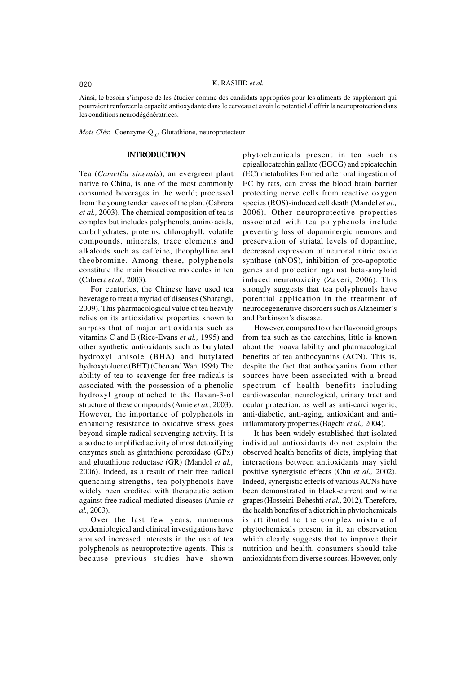# 820 K. RASHID *et al.*

Ainsi, le besoin s'impose de les étudier comme des candidats appropriés pour les aliments de supplément qui pourraient renforcer la capacité antioxydante dans le cerveau et avoir le potentiel d'offrir la neuroprotection dans les conditions neurodégénératrices.

*Mots Clés*: Coenzyme-Q<sub>10</sub>, Glutathione, neuroprotecteur

## **INTRODUCTION**

Tea (*Camellia sinensis*), an evergreen plant native to China, is one of the most commonly consumed beverages in the world; processed from the young tender leaves of the plant (Cabrera *et al.,* 2003). The chemical composition of tea is complex but includes polyphenols, amino acids, carbohydrates, proteins, chlorophyll, volatile compounds, minerals, trace elements and alkaloids such as caffeine, theophylline and theobromine. Among these, polyphenols constitute the main bioactive molecules in tea (Cabrera *et al.,* 2003).

For centuries, the Chinese have used tea beverage to treat a myriad of diseases (Sharangi, 2009). This pharmacological value of tea heavily relies on its antioxidative properties known to surpass that of major antioxidants such as vitamins C and E (Rice-Evans *et al.,* 1995) and other synthetic antioxidants such as butylated hydroxyl anisole (BHA) and butylated hydroxytoluene (BHT) (Chen and Wan, 1994). The ability of tea to scavenge for free radicals is associated with the possession of a phenolic hydroxyl group attached to the flavan-3-ol structure of these compounds (Amie *et al.,* 2003). However, the importance of polyphenols in enhancing resistance to oxidative stress goes beyond simple radical scavenging activity. It is also due to amplified activity of most detoxifying enzymes such as glutathione peroxidase (GPx) and glutathione reductase (GR) (Mandel *et al.,* 2006). Indeed, as a result of their free radical quenching strengths, tea polyphenols have widely been credited with therapeutic action against free radical mediated diseases (Amie *et al.,* 2003).

Over the last few years, numerous epidemiological and clinical investigations have aroused increased interests in the use of tea polyphenols as neuroprotective agents. This is because previous studies have shown

phytochemicals present in tea such as epigallocatechin gallate (EGCG) and epicatechin (EC) metabolites formed after oral ingestion of EC by rats, can cross the blood brain barrier protecting nerve cells from reactive oxygen species (ROS)-induced cell death (Mandel *et al.,* 2006). Other neuroprotective properties associated with tea polyphenols include preventing loss of dopaminergic neurons and preservation of striatal levels of dopamine, decreased expression of neuronal nitric oxide synthase (nNOS), inhibition of pro-apoptotic genes and protection against beta-amyloid induced neurotoxicity (Zaveri, 2006). This strongly suggests that tea polyphenols have potential application in the treatment of neurodegenerative disorders such as Alzheimer's and Parkinson's disease.

However, compared to other flavonoid groups from tea such as the catechins, little is known about the bioavailability and pharmacological benefits of tea anthocyanins (ACN). This is, despite the fact that anthocyanins from other sources have been associated with a broad spectrum of health benefits including cardiovascular, neurological, urinary tract and ocular protection, as well as anti-carcinogenic, anti-diabetic, anti-aging, antioxidant and antiinflammatory properties(Bagchi *et al.,* 2004).

It has been widely established that isolated individual antioxidants do not explain the observed health benefits of diets, implying that interactions between antioxidants may yield positive synergistic effects (Chu *et al.,* 2002). Indeed, synergistic effects of various ACNs have been demonstrated in black-current and wine grapes (Hosseini-Beheshti *et al.,* 2012). Therefore, the health benefits of a diet rich in phytochemicals is attributed to the complex mixture of phytochemicals present in it, an observation which clearly suggests that to improve their nutrition and health, consumers should take antioxidants from diverse sources. However, only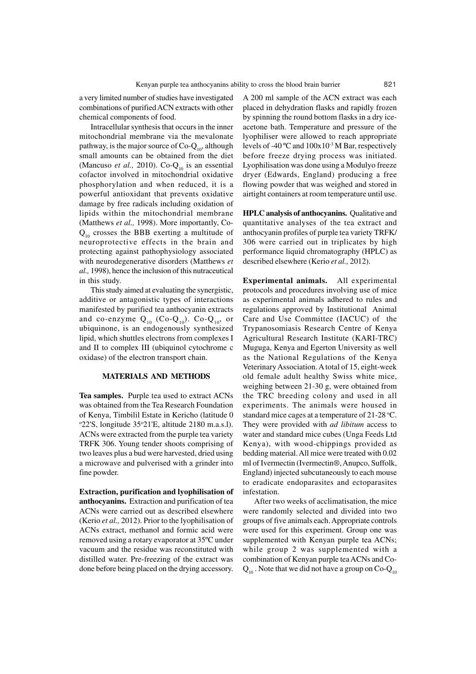a very limited number of studies have investigated combinations of purified ACN extracts with other chemical components of food.

Intracellular synthesis that occurs in the inner mitochondrial membrane via the mevalonate pathway, is the major source of  $Co-Q_{10}$ , although small amounts can be obtained from the diet (Mancuso *et al.*, 2010). Co- $Q_{10}$  is an essential cofactor involved in mitochondrial oxidative phosphorylation and when reduced, it is a powerful antioxidant that prevents oxidative damage by free radicals including oxidation of lipids within the mitochondrial membrane (Matthews *et al.,* 1998). More importantly, Co- $Q_{10}$  crosses the BBB exerting a multitude of neuroprotective effects in the brain and protecting against pathophysiology associated with neurodegenerative disorders (Matthews *et al.,* 1998), hence the inclusion of this nutraceutical in this study.

This study aimed at evaluating the synergistic, additive or antagonistic types of interactions manifested by purified tea anthocyanin extracts and co-enzyme  $Q_{10}$  (Co- $Q_{10}$ ). Co- $Q_{10}$ , or ubiquinone, is an endogenously synthesized lipid, which shuttles electrons from complexes I and II to complex III (ubiquinol cytochrome c oxidase) of the electron transport chain.

#### **MATERIALS AND METHODS**

**Tea samples.** Purple tea used to extract ACNs was obtained from the Tea Research Foundation of Kenya, Timbilil Estate in Kericho (latitude 0 <sup>o</sup>22'S, longitude 35<sup>o</sup>21'E, altitude 2180 m.a.s.l). ACNs were extracted from the purple tea variety TRFK 306. Young tender shoots comprising of two leaves plus a bud were harvested, dried using a microwave and pulverised with a grinder into fine powder.

**Extraction, purification and lyophilisation of anthocyanins.** Extraction and purification of tea ACNs were carried out as described elsewhere (Kerio *et al.,* 2012). Prior to the lyophilisation of ACNs extract, methanol and formic acid were removed using a rotary evaporator at 35ºC under vacuum and the residue was reconstituted with distilled water. Pre-freezing of the extract was done before being placed on the drying accessory.

A 200 ml sample of the ACN extract was each placed in dehydration flasks and rapidly frozen by spinning the round bottom flasks in a dry iceacetone bath. Temperature and pressure of the lyophiliser were allowed to reach appropriate levels of -40  $^{\circ}$ C and  $100x10^{-3}$  M Bar, respectively before freeze drying process was initiated. Lyophilisation was done using a Modulyo freeze dryer (Edwards, England) producing a free flowing powder that was weighed and stored in airtight containers at room temperature until use.

**HPLC analysis of anthocyanins.** Qualitative and quantitative analyses of the tea extract and anthocyanin profiles of purple tea variety TRFK/ 306 were carried out in triplicates by high performance liquid chromatography (HPLC) as described elsewhere (Kerio *et al.,* 2012).

**Experimental animals.** All experimental protocols and procedures involving use of mice as experimental animals adhered to rules and regulations approved by Institutional Animal Care and Use Committee (IACUC) of the Trypanosomiasis Research Centre of Kenya Agricultural Research Institute (KARI-TRC) Muguga, Kenya and Egerton University as well as the National Regulations of the Kenya Veterinary Association. A total of 15, eight-week old female adult healthy Swiss white mice, weighing between 21-30 g, were obtained from the TRC breeding colony and used in all experiments. The animals were housed in standard mice cages at a temperature of  $21-28$  °C. They were provided with *ad libitum* access to water and standard mice cubes (Unga Feeds Ltd Kenya), with wood-chippings provided as bedding material. All mice were treated with 0.02 ml of Ivermectin (Ivermectin®, Anupco, Suffolk, England) injected subcutaneously to each mouse to eradicate endoparasites and ectoparasites infestation.

After two weeks of acclimatisation, the mice were randomly selected and divided into two groups of five animals each. Appropriate controls were used for this experiment. Group one was supplemented with Kenyan purple tea ACNs; while group 2 was supplemented with a combination of Kenyan purple tea ACNs and Co- $Q_{10}$ . Note that we did not have a group on Co- $Q_{10}$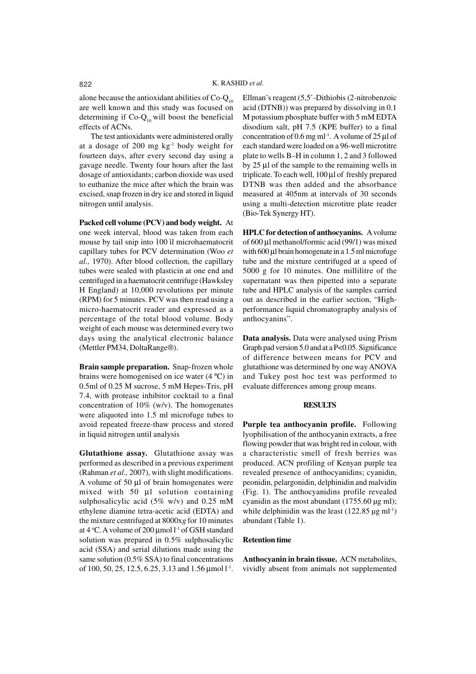alone because the antioxidant abilities of  $Co-Q_{10}$ are well known and this study was focused on determining if  $Co-Q_{10}$  will boost the beneficial effects of ACNs.

The test antioxidants were administered orally at a dosage of 200 mg  $kg^{-1}$  body weight for fourteen days, after every second day using a gavage needle. Twenty four hours after the last dosage of antioxidants; carbon dioxide was used to euthanize the mice after which the brain was excised, snap frozen in dry ice and stored in liquid nitrogen until analysis.

**Packed cell volume (PCV) and body weight.** At one week interval, blood was taken from each mouse by tail snip into 100 ìl microhaematocrit capillary tubes for PCV determination (Woo *et al.,* 1970). After blood collection, the capillary tubes were sealed with plasticin at one end and centrifuged in a haematocrit centrifuge (Hawksley H England) at 10,000 revolutions per minute (RPM) for 5 minutes. PCV was then read using a micro-haematocrit reader and expressed as a percentage of the total blood volume. Body weight of each mouse was determined every two days using the analytical electronic balance (Mettler PM34, DoltaRange®).

**Brain sample preparation.** Snap-frozen whole brains were homogenised on ice water (4 ºC) in 0.5ml of 0.25 M sucrose, 5 mM Hepes-Tris, pH 7.4, with protease inhibitor cocktail to a final concentration of 10% (w/v). The homogenates were aliquoted into 1.5 ml microfuge tubes to avoid repeated freeze-thaw process and stored in liquid nitrogen until analysis

**Glutathione assay.** Glutathione assay was performed as described in a previous experiment (Rahman *et al.,* 2007), with slight modifications. A volume of 50 µl of brain homogenates were mixed with 50 µl solution containing sulphosalicylic acid (5% w/v) and 0.25 mM ethylene diamine tetra-acetic acid (EDTA) and the mixture centrifuged at 8000x*g* for 10 minutes at 4 °C. A volume of 200  $\mu$ mol l<sup>-1</sup> of GSH standard solution was prepared in 0.5% sulphosalicylic acid (SSA) and serial dilutions made using the same solution (0.5% SSA) to final concentrations of 100, 50, 25, 12.5, 6.25, 3.13 and 1.56  $\mu$ mol l<sup>-1</sup>.

Ellman's reagent (5,5'-Dithiobis (2-nitrobenzoic acid (DTNB)) was prepared by dissolving in 0.1 M potassium phosphate buffer with 5 mM EDTA disodium salt, pH 7.5 (KPE buffer) to a final concentration of  $0.6$  mg ml<sup>-1</sup>. A volume of  $25 \mu$ l of each standard were loaded on a 96-well microtitre plate to wells B–H in column 1, 2 and 3 followed by 25 µl of the sample to the remaining wells in triplicate. To each well, 100 µl of freshly prepared DTNB was then added and the absorbance measured at 405nm at intervals of 30 seconds using a multi-detection microtitre plate reader (Bio-Tek Synergy HT).

**HPLC for detection of anthocyanins.** A volume of 600 µl methanol/formic acid (99/1) was mixed with 600 µl brain homogenate in a 1.5 ml microfuge tube and the mixture centrifuged at a speed of 5000 g for 10 minutes. One millilitre of the supernatant was then pipetted into a separate tube and HPLC analysis of the samples carried out as described in the earlier section, "Highperformance liquid chromatography analysis of anthocyanins".

**Data analysis.** Data were analysed using Prism Graph pad version 5.0 and at a P<0.05. Significance of difference between means for PCV and glutathione was determined by one way ANOVA and Tukey post hoc test was performed to evaluate differences among group means.

#### **RESULTS**

**Purple tea anthocyanin profile.** Following lyophilisation of the anthocyanin extracts, a free flowing powder that was bright red in colour, with a characteristic smell of fresh berries was produced. ACN profiling of Kenyan purple tea revealed presence of anthocyanidins; cyanidin, peonidin, pelargonidin, delphinidin and malvidin (Fig. 1). The anthocyanidins profile revealed cyanidin as the most abundant  $(1755.60 \text{ µg ml});$ while delphinidin was the least  $(122.85 \text{ µg} \text{ ml}^{-1})$ abundant (Table 1).

## **Retention time**

**Anthocyanin in brain tissue.** ACN metabolites, vividly absent from animals not supplemented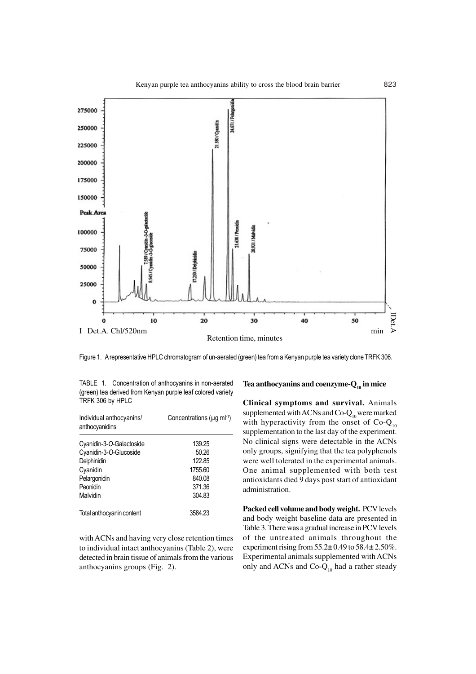

Figure 1. A representative HPLC chromatogram of un-aerated (green) tea from a Kenyan purple tea variety clone TRFK 306.

TABLE 1. Concentration of anthocyanins in non-aerated (green) tea derived from Kenyan purple leaf colored variety TRFK 306 by HPLC

| Individual anthocyanins/<br>anthocyanidins | Concentrations ( $\mu q$ ml <sup>-1</sup> ) |  |  |
|--------------------------------------------|---------------------------------------------|--|--|
| Cyanidin-3-O-Galactoside                   | 139.25                                      |  |  |
| Cyanidin-3-O-Glucoside                     | 50.26                                       |  |  |
| Delphinidin                                | 122.85                                      |  |  |
| Cyanidin                                   | 1755.60                                     |  |  |
| Pelargonidin                               | 840.08                                      |  |  |
| Peonidin                                   | 371.36                                      |  |  |
| Malvidin                                   | 304.83                                      |  |  |
| Total anthocyanin content                  | 3584.23                                     |  |  |

with ACNs and having very close retention times to individual intact anthocyanins (Table 2), were detected in brain tissue of animals from the various anthocyanins groups (Fig. 2).

# **Tea anthocyanins and coenzyme-Q10 in mice**

**Clinical symptoms and survival.** Animals supplemented with ACNs and Co- $Q_{10}$  were marked with hyperactivity from the onset of  $Co-Q_{10}$ supplementation to the last day of the experiment. No clinical signs were detectable in the ACNs only groups, signifying that the tea polyphenols were well tolerated in the experimental animals. One animal supplemented with both test antioxidants died 9 days post start of antioxidant administration.

**Packed cell volume and body weight.** PCV levels and body weight baseline data are presented in Table 3. There was a gradual increase in PCV levels of the untreated animals throughout the experiment rising from 55.2**±** 0.49 to 58.4**±** 2.50%. Experimental animals supplemented with ACNs only and ACNs and  $Co-Q_{10}$  had a rather steady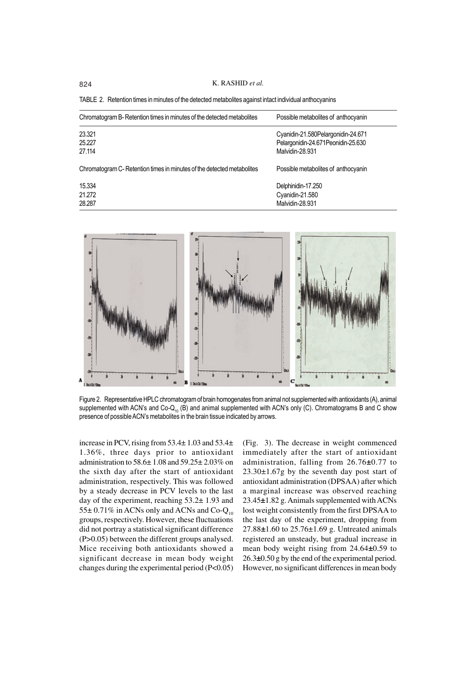824 K. RASHID *et al.*

TABLE 2. Retention times in minutes of the detected metabolites against intact individual anthocyanins

| Possible metabolites of anthocyanin |                                                                                              |  |
|-------------------------------------|----------------------------------------------------------------------------------------------|--|
|                                     |                                                                                              |  |
|                                     |                                                                                              |  |
| Malvidin-28.931                     |                                                                                              |  |
| Possible metabolites of anthocyanin |                                                                                              |  |
| Delphinidin-17.250                  |                                                                                              |  |
|                                     |                                                                                              |  |
| Malvidin-28.931                     |                                                                                              |  |
|                                     | Cyanidin-21.580Pelargonidin-24.671<br>Pelargonidin-24.671 Peonidin-25.630<br>Cyanidin-21.580 |  |



Figure 2. Representative HPLC chromatogram of brain homogenates from animal not supplemented with antioxidants (A), animal supplemented with ACN's and  $Co-Q_{10}$  (B) and animal supplemented with ACN's only (C). Chromatograms B and C show presence of possible ACN's metabolites in the brain tissue indicated by arrows.

increase in PCV, rising from 53.4± 1.03 and 53.4± 1.36%, three days prior to antioxidant administration to 58.6± 1.08 and 59.25± 2.03% on the sixth day after the start of antioxidant administration, respectively. This was followed by a steady decrease in PCV levels to the last day of the experiment, reaching 53.2± 1.93 and 55 $\pm$  0.71% in ACNs only and ACNs and Co-Q<sub>10</sub> groups, respectively. However, these fluctuations did not portray a statistical significant difference (P>0.05) between the different groups analysed. Mice receiving both antioxidants showed a significant decrease in mean body weight changes during the experimental period (P<0.05)

(Fig. 3). The decrease in weight commenced immediately after the start of antioxidant administration, falling from 26.76**±**0.77 to  $23.30\pm1.67g$  by the seventh day post start of antioxidant administration (DPSAA) after which a marginal increase was observed reaching 23.45**±**1.82 g. Animals supplemented with ACNs lost weight consistently from the first DPSAA to the last day of the experiment, dropping from 27.88**±**1.60 to 25.76±1.69 g. Untreated animals registered an unsteady, but gradual increase in mean body weight rising from 24.64**±**0.59 to 26.3**±**0.50 g by the end of the experimental period. However, no significant differences in mean body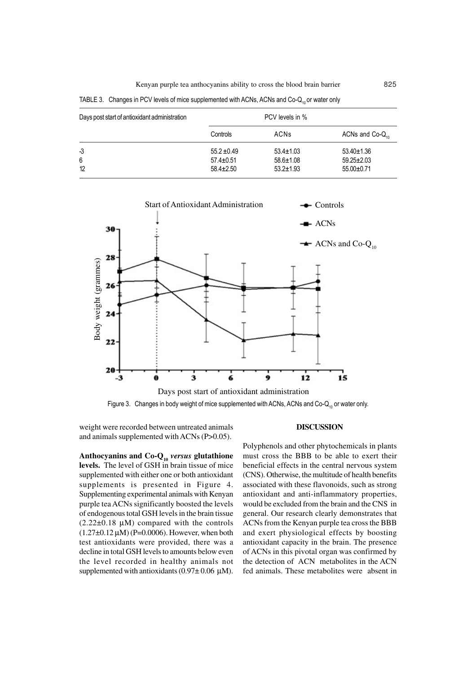| Days post start of antioxidant administration |                 |                 |                      |
|-----------------------------------------------|-----------------|-----------------|----------------------|
|                                               | Controls        | <b>ACNs</b>     | ACNs and $Co-Q_{10}$ |
| $-3$                                          | $55.2 \pm 0.49$ | $53.4 \pm 1.03$ | $53.40 \pm 1.36$     |
| 6                                             | $57.4 \pm 0.51$ | $58.6 \pm 1.08$ | $59.25 \pm 2.03$     |
| 12                                            | $58.4 \pm 2.50$ | $53.2 \pm 1.93$ | $55.00+0.71$         |

TABLE 3. Changes in PCV levels of mice supplemented with ACNs, ACNs and Co- $Q_{10}$  or water only



weight were recorded between untreated animals and animals supplemented with ACNs (P>0.05).

**Anthocyanins and Co-Q<sup>10</sup>** *versus* **glutathione levels.** The level of GSH in brain tissue of mice supplemented with either one or both antioxidant supplements is presented in Figure 4. Supplementing experimental animals with Kenyan purple tea ACNs significantly boosted the levels of endogenous total GSH levels in the brain tissue  $(2.22\pm0.18 \text{ µ})$  compared with the controls  $(1.27\pm0.12 \,\mu\text{M})$  (P=0.0006). However, when both test antioxidants were provided, there was a decline in total GSH levels to amounts below even the level recorded in healthy animals not supplemented with antioxidants  $(0.97 \pm 0.06 \mu M)$ .

## **DISCUSSION**

Polyphenols and other phytochemicals in plants must cross the BBB to be able to exert their beneficial effects in the central nervous system (CNS). Otherwise, the multitude of health benefits associated with these flavonoids, such as strong antioxidant and anti-inflammatory properties, would be excluded from the brain and the CNS in general. Our research clearly demonstrates that ACNs from the Kenyan purple tea cross the BBB and exert physiological effects by boosting antioxidant capacity in the brain. The presence of ACNs in this pivotal organ was confirmed by the detection of ACN metabolites in the ACN fed animals. These metabolites were absent in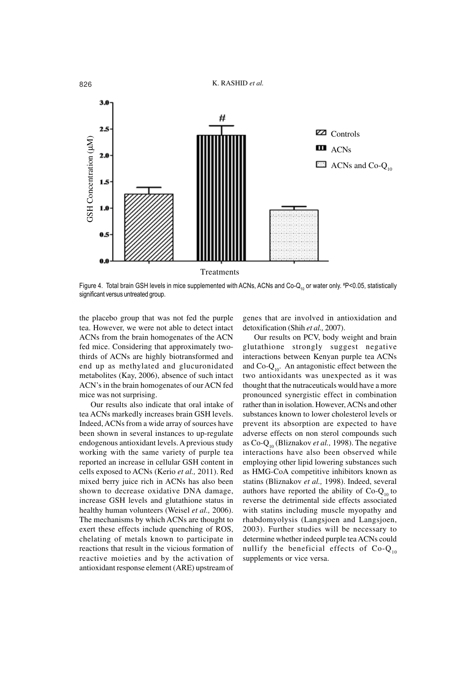

Figure 4. Total brain GSH levels in mice supplemented with ACNs, ACNs and Co-Q<sub>10</sub> or water only. #P<0.05, statistically

the placebo group that was not fed the purple tea. However, we were not able to detect intact ACNs from the brain homogenates of the ACN fed mice. Considering that approximately twothirds of ACNs are highly biotransformed and end up as methylated and glucuronidated metabolites (Kay, 2006), absence of such intact ACN's in the brain homogenates of our ACN fed mice was not surprising.

Our results also indicate that oral intake of tea ACNs markedly increases brain GSH levels. Indeed, ACNs from a wide array of sources have been shown in several instances to up-regulate endogenous antioxidant levels. A previous study working with the same variety of purple tea reported an increase in cellular GSH content in cells exposed to ACNs (Kerio *et al.,* 2011). Red mixed berry juice rich in ACNs has also been shown to decrease oxidative DNA damage, increase GSH levels and glutathione status in healthy human volunteers (Weisel *et al.,* 2006). The mechanisms by which ACNs are thought to exert these effects include quenching of ROS, chelating of metals known to participate in reactions that result in the vicious formation of reactive moieties and by the activation of antioxidant response element (ARE) upstream of

genes that are involved in antioxidation and detoxification (Shih *et al.,* 2007).

Our results on PCV, body weight and brain glutathione strongly suggest negative interactions between Kenyan purple tea ACNs and  $Co-Q_{10}$ . An antagonistic effect between the two antioxidants was unexpected as it was thought that the nutraceuticals would have a more pronounced synergistic effect in combination rather than in isolation. However, ACNs and other substances known to lower cholesterol levels or prevent its absorption are expected to have adverse effects on non sterol compounds such as Co-Q10 (Bliznakov *et al.,* 1998). The negative interactions have also been observed while employing other lipid lowering substances such as HMG-CoA competitive inhibitors known as statins (Bliznakov *et al.,* 1998). Indeed, several authors have reported the ability of  $Co-Q<sub>10</sub>$  to reverse the detrimental side effects associated with statins including muscle myopathy and rhabdomyolysis (Langsjoen and Langsjoen, 2003). Further studies will be necessary to determine whether indeed purple tea ACNs could nullify the beneficial effects of  $Co-Q_{10}$ supplements or vice versa.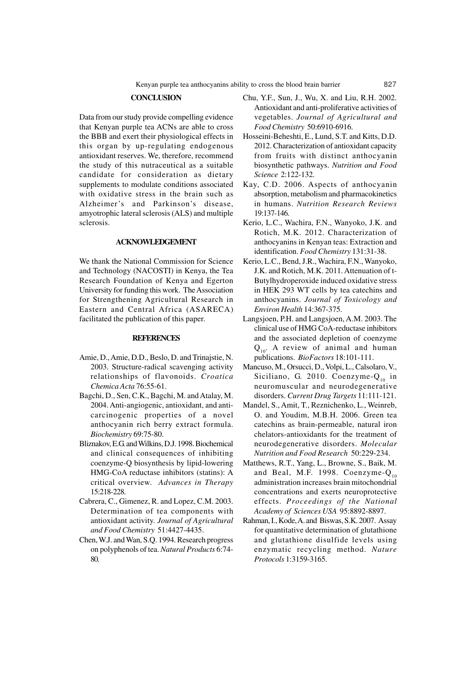#### **CONCLUSION**

Data from our study provide compelling evidence that Kenyan purple tea ACNs are able to cross the BBB and exert their physiological effects in this organ by up-regulating endogenous antioxidant reserves. We, therefore, recommend the study of this nutraceutical as a suitable candidate for consideration as dietary supplements to modulate conditions associated with oxidative stress in the brain such as Alzheimer's and Parkinson's disease, amyotrophic lateral sclerosis (ALS) and multiple sclerosis.

#### **ACKNOWLEDGEMENT**

We thank the National Commission for Science and Technology (NACOSTI) in Kenya, the Tea Research Foundation of Kenya and Egerton University for funding this work. The Association for Strengthening Agricultural Research in Eastern and Central Africa (ASARECA) facilitated the publication of this paper.

#### **REFERENCES**

- Amie, D., Amie, D.D., Beslo, D. and Trinajstie, N. 2003. Structure-radical scavenging activity relationships of flavonoids. *Croatica Chemica Acta* 76:55-61.
- Bagchi, D., Sen, C.K., Bagchi, M. and Atalay, M. 2004. Anti-angiogenic, antioxidant, and anticarcinogenic properties of a novel anthocyanin rich berry extract formula. *Biochemistry* 69:75-80.
- Bliznakov, E.G. and Wilkins, D.J. 1998. Biochemical and clinical consequences of inhibiting coenzyme-Q biosynthesis by lipid-lowering HMG-CoA reductase inhibitors (statins): A critical overview. *Advances in Therapy* 15:218-228.
- Cabrera, C., Gimenez, R. and Lopez, C.M. 2003. Determination of tea components with antioxidant activity. *Journal of Agricultural and Food Chemistry* 51:4427-4435.
- Chen, W.J. and Wan, S.Q. 1994. Research progress on polyphenols of tea. *Natural Products* 6:74- 80.
- Chu, Y.F., Sun, J., Wu, X. and Liu, R.H. 2002. Antioxidant and anti-proliferative activities of vegetables. *Journal of Agricultural and Food Chemistry* 50:6910-6916.
- Hosseini-Beheshti, E., Lund, S.T. and Kitts, D.D. 2012. Characterization of antioxidant capacity from fruits with distinct anthocyanin biosynthetic pathways. *Nutrition and Food Science* 2:122-132.
- Kay, C.D. 2006. Aspects of anthocyanin absorption, metabolism and pharmacokinetics in humans. *Nutrition Research Reviews* 19:137-146.
- Kerio, L.C., Wachira, F.N., Wanyoko, J.K. and Rotich, M.K. 2012. Characterization of anthocyanins in Kenyan teas: Extraction and identification. *Food Chemistry* 131:31-38.
- Kerio, L.C., Bend, J.R., Wachira, F.N., Wanyoko, J.K. and Rotich, M.K. 2011. Attenuation of t-Butylhydroperoxide induced oxidative stress in HEK 293 WT cells by tea catechins and anthocyanins. *Journal of Toxicology and Environ Health* 14:367-375.
- Langsjoen, P.H. and Langsjoen, A.M. 2003. The clinical use of HMG CoA-reductase inhibitors and the associated depletion of coenzyme  $Q_{10}$ . A review of animal and human publications. *BioFactors* 18:101-111.
- Mancuso, M., Orsucci, D., Volpi, L., Calsolaro, V., Siciliano, G. 2010. Coenzyme- $Q_{10}$  in neuromuscular and neurodegenerative disorders. *Current Drug Targets* 11:111-121.
- Mandel, S., Amit, T., Reznichenko, L., Weinreb, O. and Youdim, M.B.H. 2006. Green tea catechins as brain-permeable, natural iron chelators-antioxidants for the treatment of neurodegenerative disorders. *Molecular Nutrition and Food Research* 50:229-234.
- Matthews, R.T., Yang, L., Browne, S., Baik, M. and Beal, M.F. 1998. Coenzyme- $Q_{10}$ administration increases brain mitochondrial concentrations and exerts neuroprotective effects. *Proceedings of the National Academy of Sciences USA* 95:8892-8897.
- Rahman, I., Kode, A. and Biswas, S.K. 2007. Assay for quantitative determination of glutathione and glutathione disulfide levels using enzymatic recycling method. *Nature Protocols* 1:3159-3165.